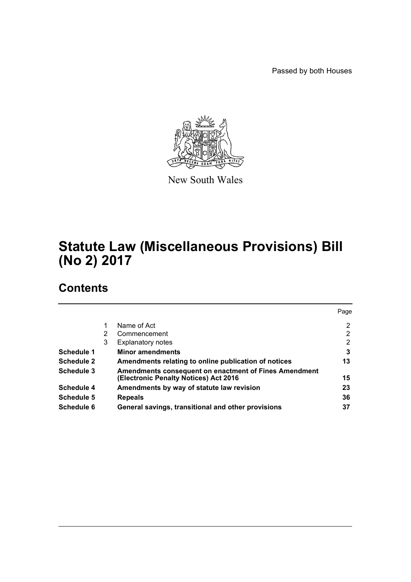Passed by both Houses



New South Wales

# **Statute Law (Miscellaneous Provisions) Bill (No 2) 2017**

# **Contents**

|                   |   |                                                                                                       | Page |
|-------------------|---|-------------------------------------------------------------------------------------------------------|------|
|                   |   | Name of Act                                                                                           | 2    |
|                   | 2 | Commencement                                                                                          | 2    |
|                   | 3 | <b>Explanatory notes</b>                                                                              | 2    |
| Schedule 1        |   | <b>Minor amendments</b>                                                                               | 3    |
| <b>Schedule 2</b> |   | Amendments relating to online publication of notices                                                  | 13   |
| Schedule 3        |   | <b>Amendments consequent on enactment of Fines Amendment</b><br>(Electronic Penalty Notices) Act 2016 | 15   |
| Schedule 4        |   | Amendments by way of statute law revision                                                             | 23   |
| Schedule 5        |   | <b>Repeals</b>                                                                                        | 36   |
| Schedule 6        |   | General savings, transitional and other provisions                                                    | 37   |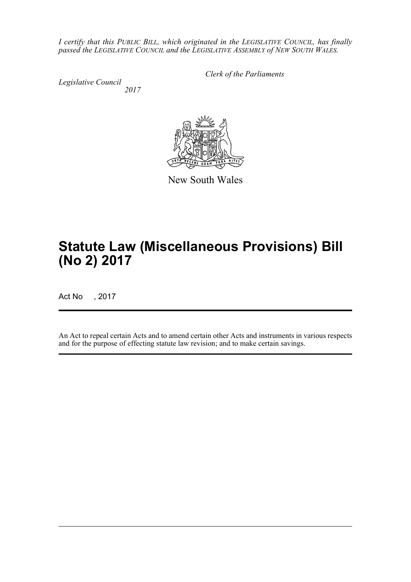*I certify that this PUBLIC BILL, which originated in the LEGISLATIVE COUNCIL, has finally passed the LEGISLATIVE COUNCIL and the LEGISLATIVE ASSEMBLY of NEW SOUTH WALES.*

*Legislative Council 2017* *Clerk of the Parliaments*



New South Wales

# **Statute Law (Miscellaneous Provisions) Bill (No 2) 2017**

Act No , 2017

An Act to repeal certain Acts and to amend certain other Acts and instruments in various respects and for the purpose of effecting statute law revision; and to make certain savings.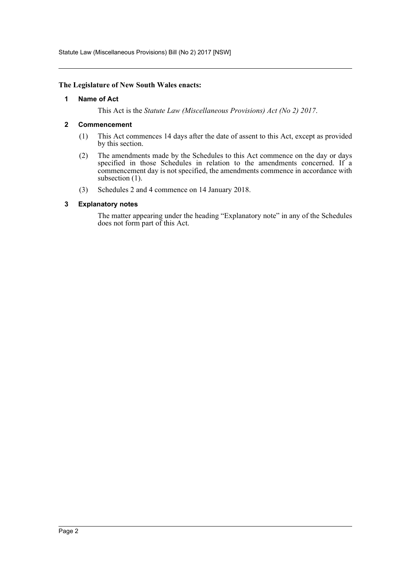Statute Law (Miscellaneous Provisions) Bill (No 2) 2017 [NSW]

### <span id="page-2-0"></span>**The Legislature of New South Wales enacts:**

### **1 Name of Act**

This Act is the *Statute Law (Miscellaneous Provisions) Act (No 2) 2017*.

### <span id="page-2-1"></span>**2 Commencement**

- (1) This Act commences 14 days after the date of assent to this Act, except as provided by this section.
- (2) The amendments made by the Schedules to this Act commence on the day or days specified in those Schedules in relation to the amendments concerned. If a commencement day is not specified, the amendments commence in accordance with subsection (1).
- (3) Schedules 2 and 4 commence on 14 January 2018.

### <span id="page-2-2"></span>**3 Explanatory notes**

The matter appearing under the heading "Explanatory note" in any of the Schedules does not form part of this Act.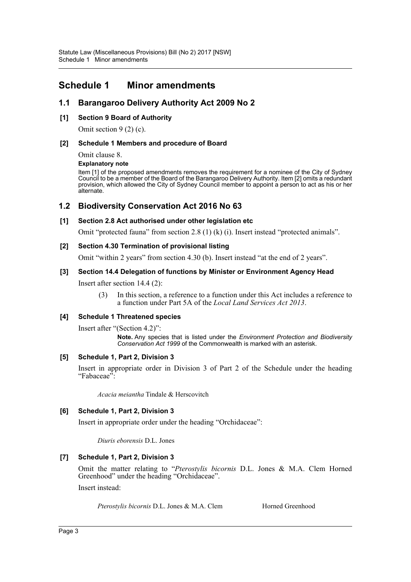# <span id="page-3-0"></span>**Schedule 1 Minor amendments**

## **1.1 Barangaroo Delivery Authority Act 2009 No 2**

### **[1] Section 9 Board of Authority**

Omit section 9 (2) (c).

### **[2] Schedule 1 Members and procedure of Board**

Omit clause 8.

### **Explanatory note**

Item [1] of the proposed amendments removes the requirement for a nominee of the City of Sydney Council to be a member of the Board of the Barangaroo Delivery Authority. Item [2] omits a redundant provision, which allowed the City of Sydney Council member to appoint a person to act as his or her alternate.

### **1.2 Biodiversity Conservation Act 2016 No 63**

### **[1] Section 2.8 Act authorised under other legislation etc**

Omit "protected fauna" from section 2.8 (1) (k) (i). Insert instead "protected animals".

### **[2] Section 4.30 Termination of provisional listing**

Omit "within 2 years" from section 4.30 (b). Insert instead "at the end of 2 years".

### **[3] Section 14.4 Delegation of functions by Minister or Environment Agency Head**

Insert after section 14.4 (2):

(3) In this section, a reference to a function under this Act includes a reference to a function under Part 5A of the *Local Land Services Act 2013*.

### **[4] Schedule 1 Threatened species**

Insert after "(Section 4.2)":

**Note.** Any species that is listed under the *Environment Protection and Biodiversity Conservation Act 1999* of the Commonwealth is marked with an asterisk.

### **[5] Schedule 1, Part 2, Division 3**

Insert in appropriate order in Division 3 of Part 2 of the Schedule under the heading "Fabaceae":

*Acacia meiantha* Tindale & Herscovitch

### **[6] Schedule 1, Part 2, Division 3**

Insert in appropriate order under the heading "Orchidaceae":

*Diuris eborensis* D.L. Jones

### **[7] Schedule 1, Part 2, Division 3**

Omit the matter relating to "*Pterostylis bicornis* D.L. Jones & M.A. Clem Horned Greenhood" under the heading "Orchidaceae".

Insert instead:

*Pterostylis bicornis* D.L. Jones & M.A. Clem Horned Greenhood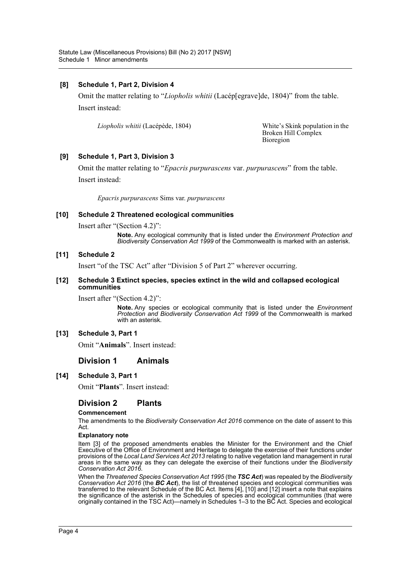### **[8] Schedule 1, Part 2, Division 4**

Omit the matter relating to "*Liopholis whitii* (Lacép[egrave]de, 1804)" from the table. Insert instead:

*Liopholis whitii* (Lacépède, 1804) White's Skink population in the

Broken Hill Complex Bioregion

### **[9] Schedule 1, Part 3, Division 3**

Omit the matter relating to "*Epacris purpurascens* var. *purpurascens*" from the table. Insert instead:

*Epacris purpurascens* Sims var. *purpurascens*

### **[10] Schedule 2 Threatened ecological communities**

Insert after "(Section 4.2)":

**Note.** Any ecological community that is listed under the *Environment Protection and Biodiversity Conservation Act 1999* of the Commonwealth is marked with an asterisk.

#### **[11] Schedule 2**

Insert "of the TSC Act" after "Division 5 of Part 2" wherever occurring.

#### **[12] Schedule 3 Extinct species, species extinct in the wild and collapsed ecological communities**

Insert after "(Section 4.2)":

**Note.** Any species or ecological community that is listed under the *Environment Protection and Biodiversity Conservation Act 1999* of the Commonwealth is marked with an asterisk.

#### **[13] Schedule 3, Part 1**

Omit "**Animals**". Insert instead:

### **Division 1 Animals**

### **[14] Schedule 3, Part 1**

Omit "**Plants**". Insert instead:

### **Division 2 Plants**

#### **Commencement**

The amendments to the *Biodiversity Conservation Act 2016* commence on the date of assent to this Act.

#### **Explanatory note**

Item [3] of the proposed amendments enables the Minister for the Environment and the Chief Executive of the Office of Environment and Heritage to delegate the exercise of their functions under provisions of the *Local Land Services Act 2013* relating to native vegetation land management in rural areas in the same way as they can delegate the exercise of their functions under the *Biodiversity Conservation Act 2016*.

When the *Threatened Species Conservation Act 1995* (the *TSC Act*) was repealed by the *Biodiversity Conservation Act 2016* (the *BC Act*), the list of threatened species and ecological communities was transferred to the relevant Schedule of the BC Act. Items [4], [10] and [12] insert a note that explains the significance of the asterisk in the Schedules of species and ecological communities (that were originally contained in the TSC Act)—namely in Schedules 1–3 to the BC Act. Species and ecological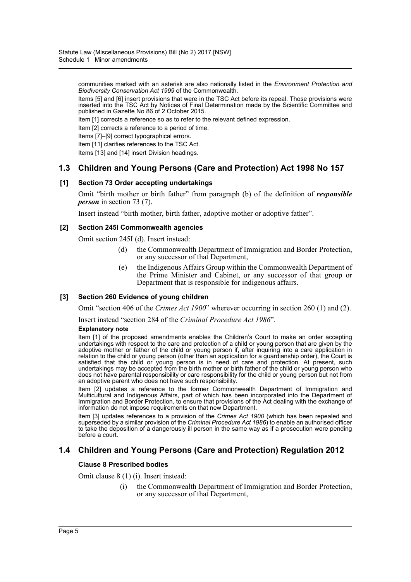communities marked with an asterisk are also nationally listed in the *Environment Protection and Biodiversity Conservation Act 1999* of the Commonwealth.

Items [5] and [6] insert provisions that were in the TSC Act before its repeal. Those provisions were inserted into the TSC Act by Notices of Final Determination made by the Scientific Committee and published in Gazette No 86 of 2 October 2015.

Item [1] corrects a reference so as to refer to the relevant defined expression.

Item [2] corrects a reference to a period of time.

Items [7]–[9] correct typographical errors.

Item [11] clarifies references to the TSC Act.

Items [13] and [14] insert Division headings.

### **1.3 Children and Young Persons (Care and Protection) Act 1998 No 157**

#### **[1] Section 73 Order accepting undertakings**

Omit "birth mother or birth father" from paragraph (b) of the definition of *responsible person* in section 73 (7).

Insert instead "birth mother, birth father, adoptive mother or adoptive father".

#### **[2] Section 245I Commonwealth agencies**

Omit section 245I (d). Insert instead:

- (d) the Commonwealth Department of Immigration and Border Protection, or any successor of that Department,
- (e) the Indigenous Affairs Group within the Commonwealth Department of the Prime Minister and Cabinet, or any successor of that group or Department that is responsible for indigenous affairs.

#### **[3] Section 260 Evidence of young children**

Omit "section 406 of the *Crimes Act 1900*" wherever occurring in section 260 (1) and (2).

Insert instead "section 284 of the *Criminal Procedure Act 1986*".

#### **Explanatory note**

Item [1] of the proposed amendments enables the Children's Court to make an order accepting undertakings with respect to the care and protection of a child or young person that are given by the adoptive mother or father of the child or young person if, after inquiring into a care application in relation to the child or young person (other than an application for a guardianship order), the Court is satisfied that the child or young person is in need of care and protection. At present, such undertakings may be accepted from the birth mother or birth father of the child or young person who does not have parental responsibility or care responsibility for the child or young person but not from an adoptive parent who does not have such responsibility.

Item [2] updates a reference to the former Commonwealth Department of Immigration and Multicultural and Indigenous Affairs, part of which has been incorporated into the Department of Immigration and Border Protection, to ensure that provisions of the Act dealing with the exchange of information do not impose requirements on that new Department.

Item [3] updates references to a provision of the *Crimes Act 1900* (which has been repealed and superseded by a similar provision of the *Criminal Procedure Act 1986*) to enable an authorised officer to take the deposition of a dangerously ill person in the same way as if a prosecution were pending before a court.

### **1.4 Children and Young Persons (Care and Protection) Regulation 2012**

#### **Clause 8 Prescribed bodies**

Omit clause 8 (1) (i). Insert instead:

(i) the Commonwealth Department of Immigration and Border Protection, or any successor of that Department,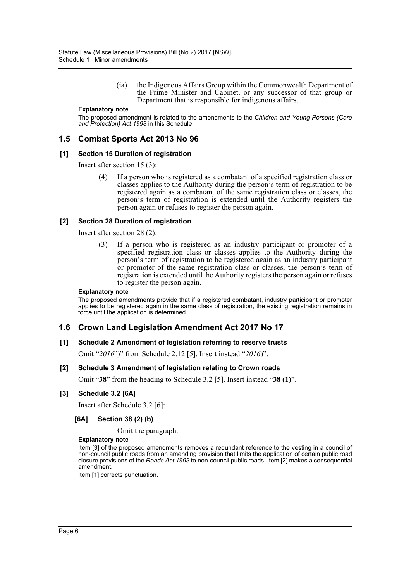(ia) the Indigenous Affairs Group within the Commonwealth Department of the Prime Minister and Cabinet, or any successor of that group or Department that is responsible for indigenous affairs.

#### **Explanatory note**

The proposed amendment is related to the amendments to the *Children and Young Persons (Care and Protection) Act 1998* in this Schedule.

### **1.5 Combat Sports Act 2013 No 96**

#### **[1] Section 15 Duration of registration**

Insert after section 15 (3):

(4) If a person who is registered as a combatant of a specified registration class or classes applies to the Authority during the person's term of registration to be registered again as a combatant of the same registration class or classes, the person's term of registration is extended until the Authority registers the person again or refuses to register the person again.

#### **[2] Section 28 Duration of registration**

Insert after section 28 (2):

(3) If a person who is registered as an industry participant or promoter of a specified registration class or classes applies to the Authority during the person's term of registration to be registered again as an industry participant or promoter of the same registration class or classes, the person's term of registration is extended until the Authority registers the person again or refuses to register the person again.

#### **Explanatory note**

The proposed amendments provide that if a registered combatant, industry participant or promoter applies to be registered again in the same class of registration, the existing registration remains in force until the application is determined.

### **1.6 Crown Land Legislation Amendment Act 2017 No 17**

### **[1] Schedule 2 Amendment of legislation referring to reserve trusts**

Omit "*2016*")" from Schedule 2.12 [5]. Insert instead "*2016*)".

### **[2] Schedule 3 Amendment of legislation relating to Crown roads**

Omit "**38**" from the heading to Schedule 3.2 [5]. Insert instead "**38 (1)**".

#### **[3] Schedule 3.2 [6A]**

Insert after Schedule 3.2 [6]:

### **[6A] Section 38 (2) (b)**

#### Omit the paragraph.

#### **Explanatory note**

Item [3] of the proposed amendments removes a redundant reference to the vesting in a council of non-council public roads from an amending provision that limits the application of certain public road closure provisions of the *Roads Act 1993* to non-council public roads. Item [2] makes a consequential amendment.

Item [1] corrects punctuation.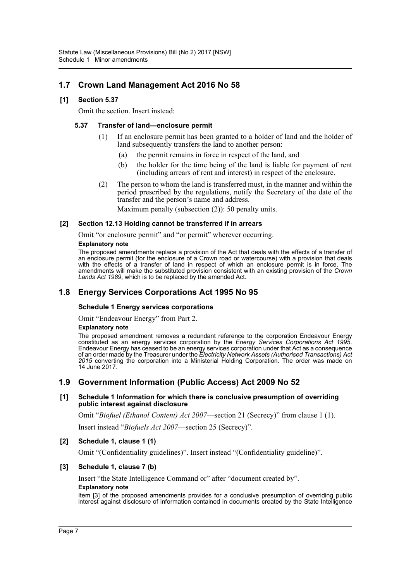# **1.7 Crown Land Management Act 2016 No 58**

### **[1] Section 5.37**

Omit the section. Insert instead:

### **5.37 Transfer of land—enclosure permit**

- (1) If an enclosure permit has been granted to a holder of land and the holder of land subsequently transfers the land to another person:
	- (a) the permit remains in force in respect of the land, and
	- (b) the holder for the time being of the land is liable for payment of rent (including arrears of rent and interest) in respect of the enclosure.
- (2) The person to whom the land is transferred must, in the manner and within the period prescribed by the regulations, notify the Secretary of the date of the transfer and the person's name and address.

Maximum penalty (subsection (2)): 50 penalty units.

### **[2] Section 12.13 Holding cannot be transferred if in arrears**

Omit "or enclosure permit" and "or permit" wherever occurring.

#### **Explanatory note**

The proposed amendments replace a provision of the Act that deals with the effects of a transfer of an enclosure permit (for the enclosure of a Crown road or watercourse) with a provision that deals with the effects of a transfer of land in respect of which an enclosure permit is in force. The amendments will make the substituted provision consistent with an existing provision of the *Crown Lands Act 1989*, which is to be replaced by the amended Act.

### **1.8 Energy Services Corporations Act 1995 No 95**

### **Schedule 1 Energy services corporations**

Omit "Endeavour Energy" from Part 2.

#### **Explanatory note**

The proposed amendment removes a redundant reference to the corporation Endeavour Energy constituted as an energy services corporation by the *Energy Services Corporations Act 1995*. Endeavour Energy has ceased to be an energy services corporation under that Act as a consequence of an order made by the Treasurer under the *Electricity Network Assets (Authorised Transactions) Act 2015* converting the corporation into a Ministerial Holding Corporation. The order was made on 14 June 2017.

## **1.9 Government Information (Public Access) Act 2009 No 52**

#### **[1] Schedule 1 Information for which there is conclusive presumption of overriding public interest against disclosure**

Omit "*Biofuel (Ethanol Content) Act 2007*—section 21 (Secrecy)" from clause 1 (1).

Insert instead "*Biofuels Act 2007*—section 25 (Secrecy)".

### **[2] Schedule 1, clause 1 (1)**

Omit "(Confidentiality guidelines)". Insert instead "(Confidentiality guideline)".

### **[3] Schedule 1, clause 7 (b)**

Insert "the State Intelligence Command or" after "document created by".

#### **Explanatory note**

Item [3] of the proposed amendments provides for a conclusive presumption of overriding public interest against disclosure of information contained in documents created by the State Intelligence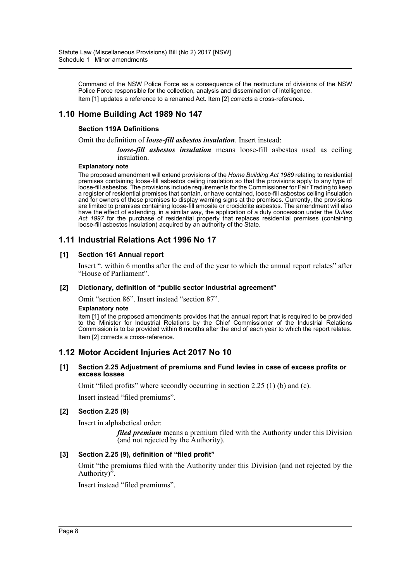Command of the NSW Police Force as a consequence of the restructure of divisions of the NSW Police Force responsible for the collection, analysis and dissemination of intelligence. Item [1] updates a reference to a renamed Act. Item [2] corrects a cross-reference.

# **1.10 Home Building Act 1989 No 147**

### **Section 119A Definitions**

Omit the definition of *loose-fill asbestos insulation*. Insert instead:

*loose-fill asbestos insulation* means loose-fill asbestos used as ceiling insulation.

#### **Explanatory note**

The proposed amendment will extend provisions of the *Home Building Act 1989* relating to residential premises containing loose-fill asbestos ceiling insulation so that the provisions apply to any type of loose-fill asbestos. The provisions include requirements for the Commissioner for Fair Trading to keep a register of residential premises that contain, or have contained, loose-fill asbestos ceiling insulation and for owners of those premises to display warning signs at the premises. Currently, the provisions are limited to premises containing loose-fill amosite or crocidolite asbestos. The amendment will also have the effect of extending, in a similar way, the application of a duty concession under the *Duties Act 1997* for the purchase of residential property that replaces residential premises (containing loose-fill asbestos insulation) acquired by an authority of the State.

## **1.11 Industrial Relations Act 1996 No 17**

### **[1] Section 161 Annual report**

Insert ", within 6 months after the end of the year to which the annual report relates" after "House of Parliament".

#### **[2] Dictionary, definition of "public sector industrial agreement"**

Omit "section 86". Insert instead "section 87".

#### **Explanatory note**

Item [1] of the proposed amendments provides that the annual report that is required to be provided to the Minister for Industrial Relations by the Chief Commissioner of the Industrial Relations Commission is to be provided within 6 months after the end of each year to which the report relates. Item [2] corrects a cross-reference.

### **1.12 Motor Accident Injuries Act 2017 No 10**

#### **[1] Section 2.25 Adjustment of premiums and Fund levies in case of excess profits or excess losses**

Omit "filed profits" where secondly occurring in section 2.25 (1) (b) and (c).

Insert instead "filed premiums".

### **[2] Section 2.25 (9)**

Insert in alphabetical order:

*filed premium* means a premium filed with the Authority under this Division (and not rejected by the Authority).

### **[3] Section 2.25 (9), definition of "filed profit"**

Omit "the premiums filed with the Authority under this Division (and not rejected by the Authority)<sup>7</sup>.

Insert instead "filed premiums".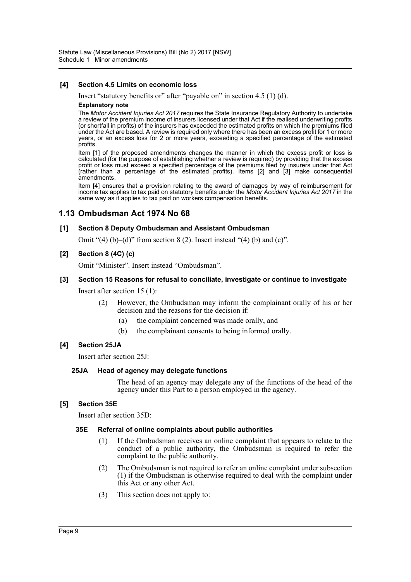### **[4] Section 4.5 Limits on economic loss**

Insert "statutory benefits or" after "payable on" in section 4.5 (1) (d).

#### **Explanatory note**

The *Motor Accident Injuries Act 2017* requires the State Insurance Regulatory Authority to undertake a review of the premium income of insurers licensed under that Act if the realised underwriting profits (or shortfall in profits) of the insurers has exceeded the estimated profits on which the premiums filed under the Act are based. A review is required only where there has been an excess profit for 1 or more years, or an excess loss for 2 or more years, exceeding a specified percentage of the estimated profits.

Item [1] of the proposed amendments changes the manner in which the excess profit or loss is calculated (for the purpose of establishing whether a review is required) by providing that the excess profit or loss must exceed a specified percentage of the premiums filed by insurers under that Act (rather than a percentage of the estimated profits). Items [2] and [3] make consequential amendments.

Item [4] ensures that a provision relating to the award of damages by way of reimbursement for income tax applies to tax paid on statutory benefits under the *Motor Accident Injuries Act 2017* in the same way as it applies to tax paid on workers compensation benefits.

### **1.13 Ombudsman Act 1974 No 68**

#### **[1] Section 8 Deputy Ombudsman and Assistant Ombudsman**

Omit " $(4)$  (b)– $(d)$ " from section 8 (2). Insert instead " $(4)$  (b) and  $(c)$ ".

#### **[2] Section 8 (4C) (c)**

Omit "Minister". Insert instead "Ombudsman".

#### **[3] Section 15 Reasons for refusal to conciliate, investigate or continue to investigate**

Insert after section 15 (1):

- (2) However, the Ombudsman may inform the complainant orally of his or her decision and the reasons for the decision if:
	- (a) the complaint concerned was made orally, and
	- (b) the complainant consents to being informed orally.

### **[4] Section 25JA**

Insert after section 25J:

### **25JA Head of agency may delegate functions**

The head of an agency may delegate any of the functions of the head of the agency under this Part to a person employed in the agency.

### **[5] Section 35E**

Insert after section 35D:

#### **35E Referral of online complaints about public authorities**

- (1) If the Ombudsman receives an online complaint that appears to relate to the conduct of a public authority, the Ombudsman is required to refer the complaint to the public authority.
- (2) The Ombudsman is not required to refer an online complaint under subsection (1) if the Ombudsman is otherwise required to deal with the complaint under this Act or any other Act.
- (3) This section does not apply to: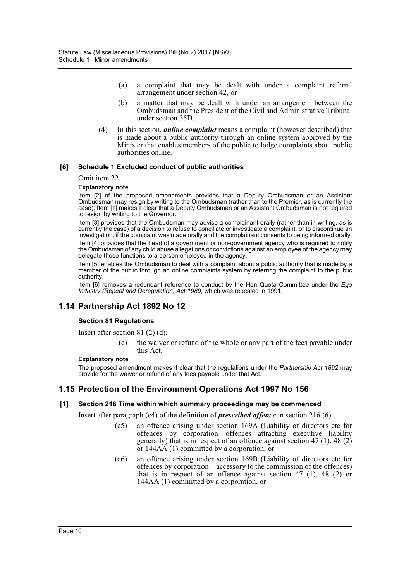- (a) a complaint that may be dealt with under a complaint referral arrangement under section 42, or
- (b) a matter that may be dealt with under an arrangement between the Ombudsman and the President of the Civil and Administrative Tribunal under section 35D.
- (4) In this section, *online complaint* means a complaint (however described) that is made about a public authority through an online system approved by the Minister that enables members of the public to lodge complaints about public authorities online.

### **[6] Schedule 1 Excluded conduct of public authorities**

#### Omit item 22.

### **Explanatory note**

Item [2] of the proposed amendments provides that a Deputy Ombudsman or an Assistant Ombudsman may resign by writing to the Ombudsman (rather than to the Premier, as is currently the case). Item [1] makes it clear that a Deputy Ombudsman or an Assistant Ombudsman is not required to resign by writing to the Governor.

Item [3] provides that the Ombudsman may advise a complainant orally (rather than in writing, as is currently the case) of a decision to refuse to conciliate or investigate a complaint, or to discontinue an investigation, if the complaint was made orally and the complainant consents to being informed orally.

Item [4] provides that the head of a government or non-government agency who is required to notify the Ombudsman of any child abuse allegations or convictions against an employee of the agency may delegate those functions to a person employed in the agency.

Item [5] enables the Ombudsman to deal with a complaint about a public authority that is made by a member of the public through an online complaints system by referring the complaint to the public authority.

Item [6] removes a redundant reference to conduct by the Hen Quota Committee under the *Egg Industry (Repeal and Deregulation) Act 1989*, which was repealed in 1991.

# **1.14 Partnership Act 1892 No 12**

### **Section 81 Regulations**

Insert after section 81 (2) (d):

the waiver or refund of the whole or any part of the fees payable under this Act.

#### **Explanatory note**

The proposed amendment makes it clear that the regulations under the *Partnership Act 1892* may provide for the waiver or refund of any fees payable under that Act.

### **1.15 Protection of the Environment Operations Act 1997 No 156**

### **[1] Section 216 Time within which summary proceedings may be commenced**

Insert after paragraph (c4) of the definition of *prescribed offence* in section 216 (6):

- (c5) an offence arising under section 169A (Liability of directors etc for offences by corporation—offences attracting executive liability generally) that is in respect of an offence against section  $47(1)$ ,  $48(2)$ or 144AA (1) committed by a corporation, or
- (c6) an offence arising under section 169B (Liability of directors etc for offences by corporation—accessory to the commission of the offences) that is in respect of an offence against section 47 (1), 48 (2) or 144AA (1) committed by a corporation, or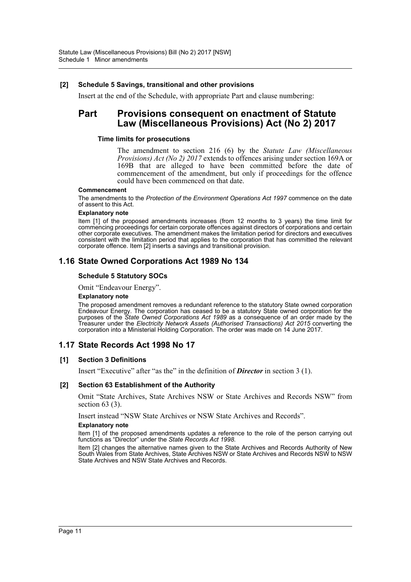### **[2] Schedule 5 Savings, transitional and other provisions**

Insert at the end of the Schedule, with appropriate Part and clause numbering:

# **Part Provisions consequent on enactment of Statute Law (Miscellaneous Provisions) Act (No 2) 2017**

#### **Time limits for prosecutions**

The amendment to section 216 (6) by the *Statute Law (Miscellaneous Provisions) Act (No 2) 2017* extends to offences arising under section 169A or 169B that are alleged to have been committed before the date of commencement of the amendment, but only if proceedings for the offence could have been commenced on that date.

#### **Commencement**

The amendments to the *Protection of the Environment Operations Act 1997* commence on the date of assent to this Act.

#### **Explanatory note**

Item [1] of the proposed amendments increases (from 12 months to 3 years) the time limit for commencing proceedings for certain corporate offences against directors of corporations and certain other corporate executives. The amendment makes the limitation period for directors and executives consistent with the limitation period that applies to the corporation that has committed the relevant corporate offence. Item [2] inserts a savings and transitional provision.

### **1.16 State Owned Corporations Act 1989 No 134**

#### **Schedule 5 Statutory SOCs**

Omit "Endeavour Energy".

#### **Explanatory note**

The proposed amendment removes a redundant reference to the statutory State owned corporation Endeavour Energy. The corporation has ceased to be a statutory State owned corporation for the purposes of the *State Owned Corporations Act 1989* as a consequence of an order made by the Treasurer under the *Electricity Network Assets (Authorised Transactions) Act 2015* converting the corporation into a Ministerial Holding Corporation. The order was made on 14 June 2017.

### **1.17 State Records Act 1998 No 17**

#### **[1] Section 3 Definitions**

Insert "Executive" after "as the" in the definition of *Director* in section 3 (1).

#### **[2] Section 63 Establishment of the Authority**

Omit "State Archives, State Archives NSW or State Archives and Records NSW" from section 63 (3).

Insert instead "NSW State Archives or NSW State Archives and Records".

#### **Explanatory note**

Item [1] of the proposed amendments updates a reference to the role of the person carrying out functions as "Director" under the *State Records Act 1998*.

Item [2] changes the alternative names given to the State Archives and Records Authority of New South Wales from State Archives, State Archives NSW or State Archives and Records NSW to NSW State Archives and NSW State Archives and Records.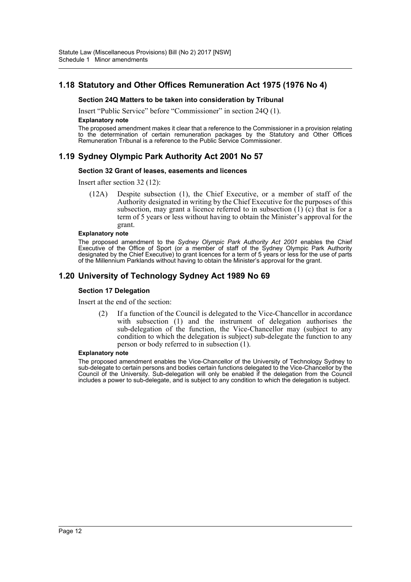# **1.18 Statutory and Other Offices Remuneration Act 1975 (1976 No 4)**

#### **Section 24Q Matters to be taken into consideration by Tribunal**

Insert "Public Service" before "Commissioner" in section 24Q (1).

#### **Explanatory note**

The proposed amendment makes it clear that a reference to the Commissioner in a provision relating to the determination of certain remuneration packages by the Statutory and Other Offices Remuneration Tribunal is a reference to the Public Service Commissioner.

## **1.19 Sydney Olympic Park Authority Act 2001 No 57**

#### **Section 32 Grant of leases, easements and licences**

Insert after section 32 (12):

(12A) Despite subsection (1), the Chief Executive, or a member of staff of the Authority designated in writing by the Chief Executive for the purposes of this subsection, may grant a licence referred to in subsection  $(1)$  (c) that is for a term of 5 years or less without having to obtain the Minister's approval for the grant.

#### **Explanatory note**

The proposed amendment to the *Sydney Olympic Park Authority Act 2001* enables the Chief Executive of the Office of Sport (or a member of staff of the Sydney Olympic Park Authority designated by the Chief Executive) to grant licences for a term of 5 years or less for the use of parts of the Millennium Parklands without having to obtain the Minister's approval for the grant.

### **1.20 University of Technology Sydney Act 1989 No 69**

#### **Section 17 Delegation**

Insert at the end of the section:

(2) If a function of the Council is delegated to the Vice-Chancellor in accordance with subsection (1) and the instrument of delegation authorises the sub-delegation of the function, the Vice-Chancellor may (subject to any condition to which the delegation is subject) sub-delegate the function to any person or body referred to in subsection (1).

#### **Explanatory note**

The proposed amendment enables the Vice-Chancellor of the University of Technology Sydney to sub-delegate to certain persons and bodies certain functions delegated to the Vice-Chancellor by the Council of the University. Sub-delegation will only be enabled if the delegation from the Council includes a power to sub-delegate, and is subject to any condition to which the delegation is subject.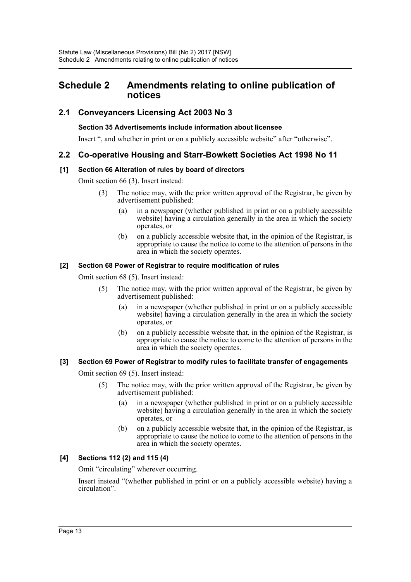# <span id="page-13-0"></span>**Schedule 2 Amendments relating to online publication of notices**

# **2.1 Conveyancers Licensing Act 2003 No 3**

### **Section 35 Advertisements include information about licensee**

Insert ", and whether in print or on a publicly accessible website" after "otherwise".

## **2.2 Co-operative Housing and Starr-Bowkett Societies Act 1998 No 11**

### **[1] Section 66 Alteration of rules by board of directors**

Omit section 66 (3). Insert instead:

- (3) The notice may, with the prior written approval of the Registrar, be given by advertisement published:
	- (a) in a newspaper (whether published in print or on a publicly accessible website) having a circulation generally in the area in which the society operates, or
	- (b) on a publicly accessible website that, in the opinion of the Registrar, is appropriate to cause the notice to come to the attention of persons in the area in which the society operates.

### **[2] Section 68 Power of Registrar to require modification of rules**

Omit section 68 (5). Insert instead:

- (5) The notice may, with the prior written approval of the Registrar, be given by advertisement published:
	- (a) in a newspaper (whether published in print or on a publicly accessible website) having a circulation generally in the area in which the society operates, or
	- (b) on a publicly accessible website that, in the opinion of the Registrar, is appropriate to cause the notice to come to the attention of persons in the area in which the society operates.

### **[3] Section 69 Power of Registrar to modify rules to facilitate transfer of engagements**

Omit section 69 (5). Insert instead:

- (5) The notice may, with the prior written approval of the Registrar, be given by advertisement published:
	- (a) in a newspaper (whether published in print or on a publicly accessible website) having a circulation generally in the area in which the society operates, or
	- (b) on a publicly accessible website that, in the opinion of the Registrar, is appropriate to cause the notice to come to the attention of persons in the area in which the society operates.

### **[4] Sections 112 (2) and 115 (4)**

Omit "circulating" wherever occurring.

Insert instead "(whether published in print or on a publicly accessible website) having a circulation".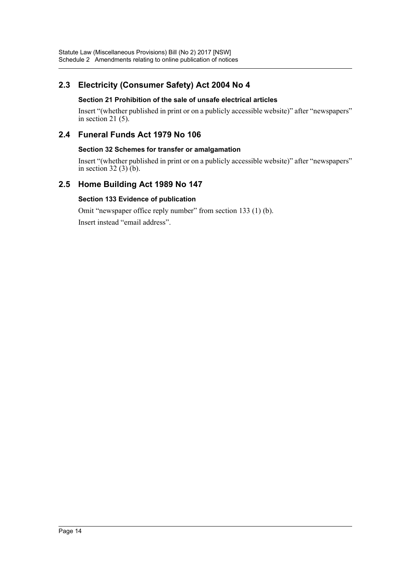# **2.3 Electricity (Consumer Safety) Act 2004 No 4**

### **Section 21 Prohibition of the sale of unsafe electrical articles**

Insert "(whether published in print or on a publicly accessible website)" after "newspapers" in section 21 $(5)$ .

# **2.4 Funeral Funds Act 1979 No 106**

### **Section 32 Schemes for transfer or amalgamation**

Insert "(whether published in print or on a publicly accessible website)" after "newspapers" in section 32  $(3)$  (b).

# **2.5 Home Building Act 1989 No 147**

### **Section 133 Evidence of publication**

Omit "newspaper office reply number" from section 133 (1) (b).

Insert instead "email address".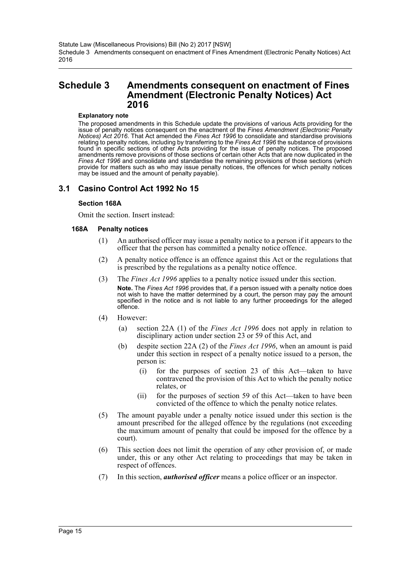# <span id="page-15-0"></span>**Schedule 3 Amendments consequent on enactment of Fines Amendment (Electronic Penalty Notices) Act 2016**

#### **Explanatory note**

The proposed amendments in this Schedule update the provisions of various Acts providing for the issue of penalty notices consequent on the enactment of the *Fines Amendment (Electronic Penalty Notices) Act 2016*. That Act amended the *Fines Act 1996* to consolidate and standardise provisions relating to penalty notices, including by transferring to the *Fines Act 1996* the substance of provisions found in specific sections of other Acts providing for the issue of penalty notices. The proposed amendments remove provisions of those sections of certain other Acts that are now duplicated in the Fines Act 1996 and consolidate and standardise the remaining provisions of those sections (which provide for matters such as who may issue penalty notices, the offences for which penalty notices may be issued and the amount of penalty payable).

### **3.1 Casino Control Act 1992 No 15**

#### **Section 168A**

Omit the section. Insert instead:

- (1) An authorised officer may issue a penalty notice to a person if it appears to the officer that the person has committed a penalty notice offence.
- (2) A penalty notice offence is an offence against this Act or the regulations that is prescribed by the regulations as a penalty notice offence.
- (3) The *Fines Act 1996* applies to a penalty notice issued under this section. **Note.** The *Fines Act 1996* provides that, if a person issued with a penalty notice does not wish to have the matter determined by a court, the person may pay the amount specified in the notice and is not liable to any further proceedings for the alleged offence.
- (4) However:
	- (a) section 22A (1) of the *Fines Act 1996* does not apply in relation to disciplinary action under section 23 or 59 of this Act, and
	- (b) despite section 22A (2) of the *Fines Act 1996*, when an amount is paid under this section in respect of a penalty notice issued to a person, the person is:
		- (i) for the purposes of section 23 of this Act—taken to have contravened the provision of this Act to which the penalty notice relates, or
		- (ii) for the purposes of section 59 of this Act—taken to have been convicted of the offence to which the penalty notice relates.
- (5) The amount payable under a penalty notice issued under this section is the amount prescribed for the alleged offence by the regulations (not exceeding the maximum amount of penalty that could be imposed for the offence by a court).
- (6) This section does not limit the operation of any other provision of, or made under, this or any other Act relating to proceedings that may be taken in respect of offences.
- (7) In this section, *authorised officer* means a police officer or an inspector.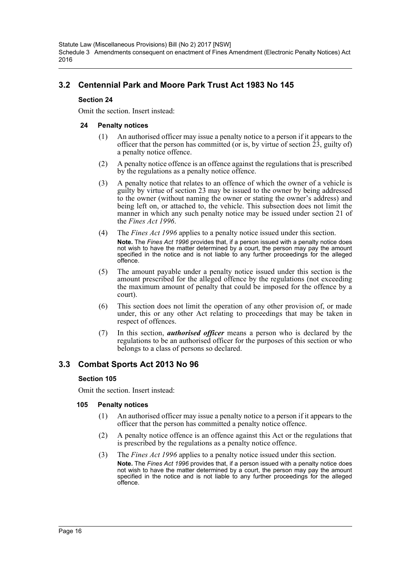# **3.2 Centennial Park and Moore Park Trust Act 1983 No 145**

### **Section 24**

Omit the section. Insert instead:

### **24 Penalty notices**

- (1) An authorised officer may issue a penalty notice to a person if it appears to the officer that the person has committed (or is, by virtue of section  $\hat{2}\hat{3}$ , guilty of) a penalty notice offence.
- (2) A penalty notice offence is an offence against the regulations that is prescribed by the regulations as a penalty notice offence.
- (3) A penalty notice that relates to an offence of which the owner of a vehicle is guilty by virtue of section 23 may be issued to the owner by being addressed to the owner (without naming the owner or stating the owner's address) and being left on, or attached to, the vehicle. This subsection does not limit the manner in which any such penalty notice may be issued under section 21 of the *Fines Act 1996*.
- (4) The *Fines Act 1996* applies to a penalty notice issued under this section. **Note.** The *Fines Act 1996* provides that, if a person issued with a penalty notice does not wish to have the matter determined by a court, the person may pay the amount specified in the notice and is not liable to any further proceedings for the alleged offence.
- (5) The amount payable under a penalty notice issued under this section is the amount prescribed for the alleged offence by the regulations (not exceeding the maximum amount of penalty that could be imposed for the offence by a court).
- (6) This section does not limit the operation of any other provision of, or made under, this or any other Act relating to proceedings that may be taken in respect of offences.
- (7) In this section, *authorised officer* means a person who is declared by the regulations to be an authorised officer for the purposes of this section or who belongs to a class of persons so declared.

## **3.3 Combat Sports Act 2013 No 96**

### **Section 105**

Omit the section. Insert instead:

- (1) An authorised officer may issue a penalty notice to a person if it appears to the officer that the person has committed a penalty notice offence.
- (2) A penalty notice offence is an offence against this Act or the regulations that is prescribed by the regulations as a penalty notice offence.
- (3) The *Fines Act 1996* applies to a penalty notice issued under this section. **Note.** The *Fines Act 1996* provides that, if a person issued with a penalty notice does not wish to have the matter determined by a court, the person may pay the amount specified in the notice and is not liable to any further proceedings for the alleged offence.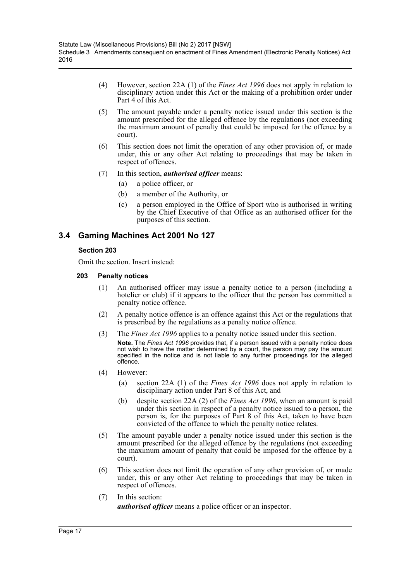- (4) However, section 22A (1) of the *Fines Act 1996* does not apply in relation to disciplinary action under this Act or the making of a prohibition order under Part 4 of this Act.
- (5) The amount payable under a penalty notice issued under this section is the amount prescribed for the alleged offence by the regulations (not exceeding the maximum amount of penalty that could be imposed for the offence by a court).
- (6) This section does not limit the operation of any other provision of, or made under, this or any other Act relating to proceedings that may be taken in respect of offences.
- (7) In this section, *authorised officer* means:
	- (a) a police officer, or
	- (b) a member of the Authority, or
	- (c) a person employed in the Office of Sport who is authorised in writing by the Chief Executive of that Office as an authorised officer for the purposes of this section.

# **3.4 Gaming Machines Act 2001 No 127**

### **Section 203**

Omit the section. Insert instead:

- (1) An authorised officer may issue a penalty notice to a person (including a hotelier or club) if it appears to the officer that the person has committed a penalty notice offence.
- (2) A penalty notice offence is an offence against this Act or the regulations that is prescribed by the regulations as a penalty notice offence.
- (3) The *Fines Act 1996* applies to a penalty notice issued under this section. **Note.** The *Fines Act 1996* provides that, if a person issued with a penalty notice does not wish to have the matter determined by a court, the person may pay the amount specified in the notice and is not liable to any further proceedings for the alleged offence.
- (4) However:
	- (a) section 22A (1) of the *Fines Act 1996* does not apply in relation to disciplinary action under Part 8 of this Act, and
	- (b) despite section 22A (2) of the *Fines Act 1996*, when an amount is paid under this section in respect of a penalty notice issued to a person, the person is, for the purposes of Part 8 of this Act, taken to have been convicted of the offence to which the penalty notice relates.
- (5) The amount payable under a penalty notice issued under this section is the amount prescribed for the alleged offence by the regulations (not exceeding the maximum amount of penalty that could be imposed for the offence by a court).
- (6) This section does not limit the operation of any other provision of, or made under, this or any other Act relating to proceedings that may be taken in respect of offences.
- (7) In this section: *authorised officer* means a police officer or an inspector.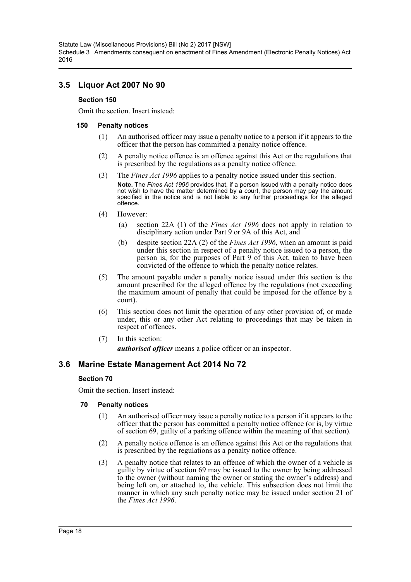# **3.5 Liquor Act 2007 No 90**

### **Section 150**

Omit the section. Insert instead:

### **150 Penalty notices**

- (1) An authorised officer may issue a penalty notice to a person if it appears to the officer that the person has committed a penalty notice offence.
- (2) A penalty notice offence is an offence against this Act or the regulations that is prescribed by the regulations as a penalty notice offence.
- (3) The *Fines Act 1996* applies to a penalty notice issued under this section. **Note.** The *Fines Act 1996* provides that, if a person issued with a penalty notice does not wish to have the matter determined by a court, the person may pay the amount specified in the notice and is not liable to any further proceedings for the alleged offence.
- (4) However:
	- (a) section 22A (1) of the *Fines Act 1996* does not apply in relation to disciplinary action under Part 9 or 9A of this Act, and
	- (b) despite section 22A (2) of the *Fines Act 1996*, when an amount is paid under this section in respect of a penalty notice issued to a person, the person is, for the purposes of Part 9 of this Act, taken to have been convicted of the offence to which the penalty notice relates.
- (5) The amount payable under a penalty notice issued under this section is the amount prescribed for the alleged offence by the regulations (not exceeding the maximum amount of penalty that could be imposed for the offence by a court).
- (6) This section does not limit the operation of any other provision of, or made under, this or any other Act relating to proceedings that may be taken in respect of offences.
- (7) In this section: *authorised officer* means a police officer or an inspector.

## **3.6 Marine Estate Management Act 2014 No 72**

### **Section 70**

Omit the section. Insert instead:

- (1) An authorised officer may issue a penalty notice to a person if it appears to the officer that the person has committed a penalty notice offence (or is, by virtue of section 69, guilty of a parking offence within the meaning of that section).
- (2) A penalty notice offence is an offence against this Act or the regulations that is prescribed by the regulations as a penalty notice offence.
- (3) A penalty notice that relates to an offence of which the owner of a vehicle is guilty by virtue of section 69 may be issued to the owner by being addressed to the owner (without naming the owner or stating the owner's address) and being left on, or attached to, the vehicle. This subsection does not limit the manner in which any such penalty notice may be issued under section 21 of the *Fines Act 1996*.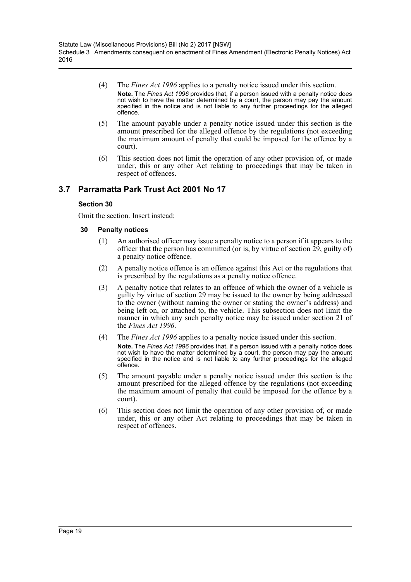- (4) The *Fines Act 1996* applies to a penalty notice issued under this section. **Note.** The *Fines Act 1996* provides that, if a person issued with a penalty notice does not wish to have the matter determined by a court, the person may pay the amount specified in the notice and is not liable to any further proceedings for the alleged offence.
- (5) The amount payable under a penalty notice issued under this section is the amount prescribed for the alleged offence by the regulations (not exceeding the maximum amount of penalty that could be imposed for the offence by a court).
- (6) This section does not limit the operation of any other provision of, or made under, this or any other Act relating to proceedings that may be taken in respect of offences.

# **3.7 Parramatta Park Trust Act 2001 No 17**

### **Section 30**

Omit the section. Insert instead:

- (1) An authorised officer may issue a penalty notice to a person if it appears to the officer that the person has committed (or is, by virtue of section  $\tilde{29}$ , guilty of) a penalty notice offence.
- (2) A penalty notice offence is an offence against this Act or the regulations that is prescribed by the regulations as a penalty notice offence.
- (3) A penalty notice that relates to an offence of which the owner of a vehicle is guilty by virtue of section 29 may be issued to the owner by being addressed to the owner (without naming the owner or stating the owner's address) and being left on, or attached to, the vehicle. This subsection does not limit the manner in which any such penalty notice may be issued under section 21 of the *Fines Act 1996*.
- (4) The *Fines Act 1996* applies to a penalty notice issued under this section. **Note.** The *Fines Act 1996* provides that, if a person issued with a penalty notice does not wish to have the matter determined by a court, the person may pay the amount specified in the notice and is not liable to any further proceedings for the alleged offence.
- (5) The amount payable under a penalty notice issued under this section is the amount prescribed for the alleged offence by the regulations (not exceeding the maximum amount of penalty that could be imposed for the offence by a court).
- (6) This section does not limit the operation of any other provision of, or made under, this or any other Act relating to proceedings that may be taken in respect of offences.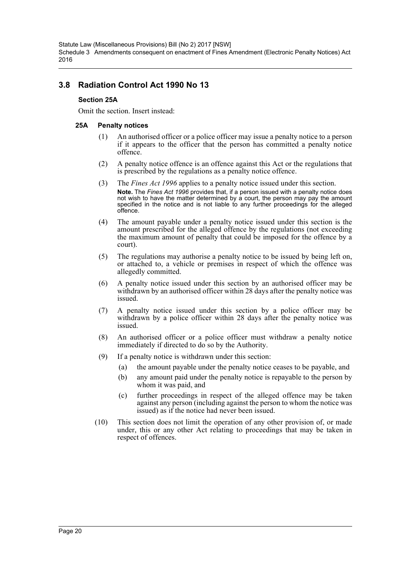Statute Law (Miscellaneous Provisions) Bill (No 2) 2017 [NSW] Schedule 3 Amendments consequent on enactment of Fines Amendment (Electronic Penalty Notices) Act 2016

## **3.8 Radiation Control Act 1990 No 13**

### **Section 25A**

Omit the section. Insert instead:

- (1) An authorised officer or a police officer may issue a penalty notice to a person if it appears to the officer that the person has committed a penalty notice offence.
- (2) A penalty notice offence is an offence against this Act or the regulations that is prescribed by the regulations as a penalty notice offence.
- (3) The *Fines Act 1996* applies to a penalty notice issued under this section. **Note.** The *Fines Act 1996* provides that, if a person issued with a penalty notice does not wish to have the matter determined by a court, the person may pay the amount specified in the notice and is not liable to any further proceedings for the alleged offence.
- (4) The amount payable under a penalty notice issued under this section is the amount prescribed for the alleged offence by the regulations (not exceeding the maximum amount of penalty that could be imposed for the offence by a court).
- (5) The regulations may authorise a penalty notice to be issued by being left on, or attached to, a vehicle or premises in respect of which the offence was allegedly committed.
- (6) A penalty notice issued under this section by an authorised officer may be withdrawn by an authorised officer within 28 days after the penalty notice was issued.
- (7) A penalty notice issued under this section by a police officer may be withdrawn by a police officer within 28 days after the penalty notice was issued.
- (8) An authorised officer or a police officer must withdraw a penalty notice immediately if directed to do so by the Authority.
- (9) If a penalty notice is withdrawn under this section:
	- (a) the amount payable under the penalty notice ceases to be payable, and
	- (b) any amount paid under the penalty notice is repayable to the person by whom it was paid, and
	- (c) further proceedings in respect of the alleged offence may be taken against any person (including against the person to whom the notice was issued) as if the notice had never been issued.
- (10) This section does not limit the operation of any other provision of, or made under, this or any other Act relating to proceedings that may be taken in respect of offences.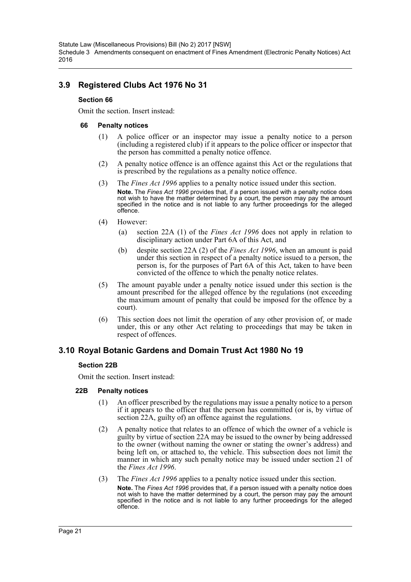Statute Law (Miscellaneous Provisions) Bill (No 2) 2017 [NSW] Schedule 3 Amendments consequent on enactment of Fines Amendment (Electronic Penalty Notices) Act 2016

# **3.9 Registered Clubs Act 1976 No 31**

### **Section 66**

Omit the section. Insert instead:

#### **66 Penalty notices**

- (1) A police officer or an inspector may issue a penalty notice to a person (including a registered club) if it appears to the police officer or inspector that the person has committed a penalty notice offence.
- (2) A penalty notice offence is an offence against this Act or the regulations that is prescribed by the regulations as a penalty notice offence.
- (3) The *Fines Act 1996* applies to a penalty notice issued under this section. **Note.** The *Fines Act 1996* provides that, if a person issued with a penalty notice does not wish to have the matter determined by a court, the person may pay the amount specified in the notice and is not liable to any further proceedings for the alleged offence.
- (4) However:
	- (a) section 22A (1) of the *Fines Act 1996* does not apply in relation to disciplinary action under Part 6A of this Act, and
	- (b) despite section 22A (2) of the *Fines Act 1996*, when an amount is paid under this section in respect of a penalty notice issued to a person, the person is, for the purposes of Part 6A of this Act, taken to have been convicted of the offence to which the penalty notice relates.
- (5) The amount payable under a penalty notice issued under this section is the amount prescribed for the alleged offence by the regulations (not exceeding the maximum amount of penalty that could be imposed for the offence by a court).
- (6) This section does not limit the operation of any other provision of, or made under, this or any other Act relating to proceedings that may be taken in respect of offences.

## **3.10 Royal Botanic Gardens and Domain Trust Act 1980 No 19**

### **Section 22B**

Omit the section. Insert instead:

### **22B Penalty notices**

- (1) An officer prescribed by the regulations may issue a penalty notice to a person if it appears to the officer that the person has committed (or is, by virtue of section 22A, guilty of) an offence against the regulations.
- (2) A penalty notice that relates to an offence of which the owner of a vehicle is guilty by virtue of section 22A may be issued to the owner by being addressed to the owner (without naming the owner or stating the owner's address) and being left on, or attached to, the vehicle. This subsection does not limit the manner in which any such penalty notice may be issued under section 21 of the *Fines Act 1996*.
- (3) The *Fines Act 1996* applies to a penalty notice issued under this section.

**Note.** The *Fines Act 1996* provides that, if a person issued with a penalty notice does not wish to have the matter determined by a court, the person may pay the amount specified in the notice and is not liable to any further proceedings for the alleged offence.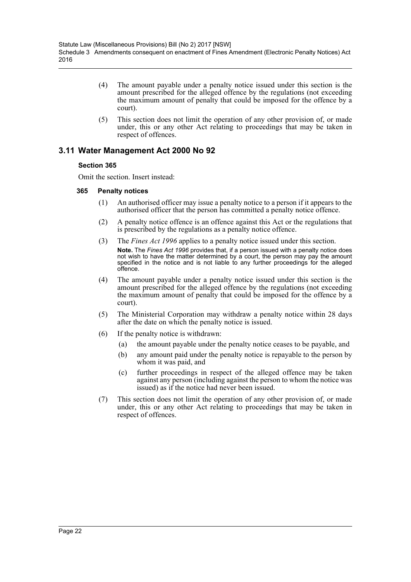- (4) The amount payable under a penalty notice issued under this section is the amount prescribed for the alleged offence by the regulations (not exceeding the maximum amount of penalty that could be imposed for the offence by a court).
- (5) This section does not limit the operation of any other provision of, or made under, this or any other Act relating to proceedings that may be taken in respect of offences.

## **3.11 Water Management Act 2000 No 92**

### **Section 365**

Omit the section. Insert instead:

- (1) An authorised officer may issue a penalty notice to a person if it appears to the authorised officer that the person has committed a penalty notice offence.
- (2) A penalty notice offence is an offence against this Act or the regulations that is prescribed by the regulations as a penalty notice offence.
- (3) The *Fines Act 1996* applies to a penalty notice issued under this section. **Note.** The *Fines Act 1996* provides that, if a person issued with a penalty notice does not wish to have the matter determined by a court, the person may pay the amount specified in the notice and is not liable to any further proceedings for the alleged offence.
- (4) The amount payable under a penalty notice issued under this section is the amount prescribed for the alleged offence by the regulations (not exceeding the maximum amount of penalty that could be imposed for the offence by a court).
- (5) The Ministerial Corporation may withdraw a penalty notice within 28 days after the date on which the penalty notice is issued.
- (6) If the penalty notice is withdrawn:
	- (a) the amount payable under the penalty notice ceases to be payable, and
	- (b) any amount paid under the penalty notice is repayable to the person by whom it was paid, and
	- (c) further proceedings in respect of the alleged offence may be taken against any person (including against the person to whom the notice was issued) as if the notice had never been issued.
- (7) This section does not limit the operation of any other provision of, or made under, this or any other Act relating to proceedings that may be taken in respect of offences.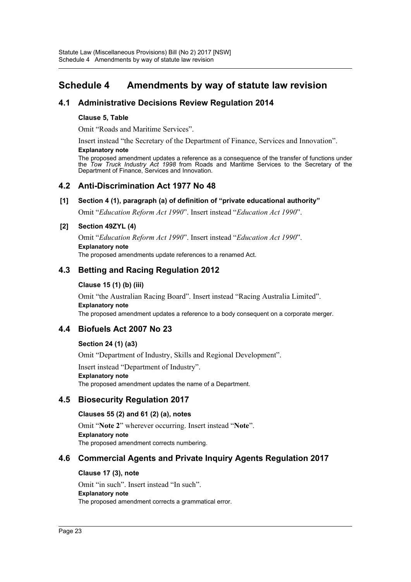# <span id="page-23-0"></span>**Schedule 4 Amendments by way of statute law revision**

## **4.1 Administrative Decisions Review Regulation 2014**

### **Clause 5, Table**

Omit "Roads and Maritime Services".

Insert instead "the Secretary of the Department of Finance, Services and Innovation".

#### **Explanatory note**

The proposed amendment updates a reference as a consequence of the transfer of functions under the *Tow Truck Industry Act 1998* from Roads and Maritime Services to the Secretary of the Department of Finance, Services and Innovation.

### **4.2 Anti-Discrimination Act 1977 No 48**

### **[1] Section 4 (1), paragraph (a) of definition of "private educational authority"**

Omit "*Education Reform Act 1990*". Insert instead "*Education Act 1990*".

### **[2] Section 49ZYL (4)**

Omit "*Education Reform Act 1990*". Insert instead "*Education Act 1990*". **Explanatory note** The proposed amendments update references to a renamed Act.

## **4.3 Betting and Racing Regulation 2012**

### **Clause 15 (1) (b) (iii)**

Omit "the Australian Racing Board". Insert instead "Racing Australia Limited". **Explanatory note** The proposed amendment updates a reference to a body consequent on a corporate merger.

# **4.4 Biofuels Act 2007 No 23**

### **Section 24 (1) (a3)**

Omit "Department of Industry, Skills and Regional Development".

Insert instead "Department of Industry".

### **Explanatory note**

The proposed amendment updates the name of a Department.

## **4.5 Biosecurity Regulation 2017**

### **Clauses 55 (2) and 61 (2) (a), notes**

Omit "**Note 2**" wherever occurring. Insert instead "**Note**". **Explanatory note** The proposed amendment corrects numbering.

# **4.6 Commercial Agents and Private Inquiry Agents Regulation 2017**

### **Clause 17 (3), note**

Omit "in such". Insert instead "In such". **Explanatory note** The proposed amendment corrects a grammatical error.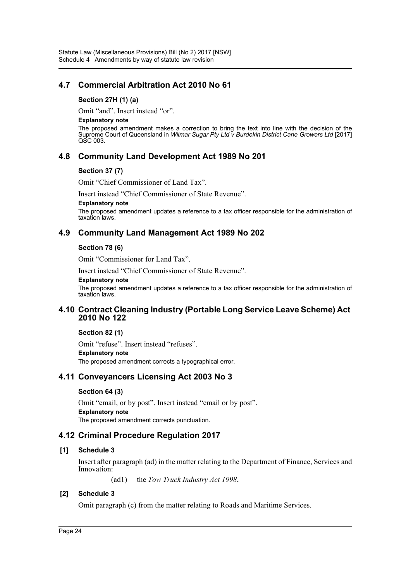# **4.7 Commercial Arbitration Act 2010 No 61**

### **Section 27H (1) (a)**

Omit "and". Insert instead "or".

#### **Explanatory note**

The proposed amendment makes a correction to bring the text into line with the decision of the Supreme Court of Queensland in *Wilmar Sugar Pty Ltd v Burdekin District Cane Growers Ltd* [2017] QSC 003.

## **4.8 Community Land Development Act 1989 No 201**

### **Section 37 (7)**

Omit "Chief Commissioner of Land Tax".

Insert instead "Chief Commissioner of State Revenue".

#### **Explanatory note**

The proposed amendment updates a reference to a tax officer responsible for the administration of taxation laws.

### **4.9 Community Land Management Act 1989 No 202**

### **Section 78 (6)**

Omit "Commissioner for Land Tax".

Insert instead "Chief Commissioner of State Revenue".

#### **Explanatory note**

The proposed amendment updates a reference to a tax officer responsible for the administration of taxation laws.

### **4.10 Contract Cleaning Industry (Portable Long Service Leave Scheme) Act 2010 No 122**

### **Section 82 (1)**

Omit "refuse". Insert instead "refuses". **Explanatory note** The proposed amendment corrects a typographical error.

### **4.11 Conveyancers Licensing Act 2003 No 3**

### **Section 64 (3)**

Omit "email, or by post". Insert instead "email or by post". **Explanatory note** The proposed amendment corrects punctuation.

### **4.12 Criminal Procedure Regulation 2017**

### **[1] Schedule 3**

Insert after paragraph (ad) in the matter relating to the Department of Finance, Services and Innovation:

(ad1) the *Tow Truck Industry Act 1998*,

### **[2] Schedule 3**

Omit paragraph (c) from the matter relating to Roads and Maritime Services.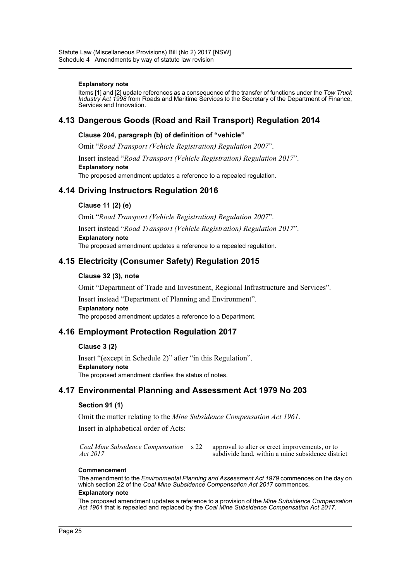#### **Explanatory note**

Items [1] and [2] update references as a consequence of the transfer of functions under the *Tow Truck Industry Act 1998* from Roads and Maritime Services to the Secretary of the Department of Finance, Services and Innovation.

### **4.13 Dangerous Goods (Road and Rail Transport) Regulation 2014**

#### **Clause 204, paragraph (b) of definition of "vehicle"**

Omit "*Road Transport (Vehicle Registration) Regulation 2007*".

Insert instead "*Road Transport (Vehicle Registration) Regulation 2017*". **Explanatory note**

The proposed amendment updates a reference to a repealed regulation.

### **4.14 Driving Instructors Regulation 2016**

### **Clause 11 (2) (e)**

Omit "*Road Transport (Vehicle Registration) Regulation 2007*".

Insert instead "*Road Transport (Vehicle Registration) Regulation 2017*". **Explanatory note**

The proposed amendment updates a reference to a repealed regulation.

### **4.15 Electricity (Consumer Safety) Regulation 2015**

#### **Clause 32 (3), note**

Omit "Department of Trade and Investment, Regional Infrastructure and Services".

Insert instead "Department of Planning and Environment". **Explanatory note** The proposed amendment updates a reference to a Department.

## **4.16 Employment Protection Regulation 2017**

#### **Clause 3 (2)**

Insert "(except in Schedule 2)" after "in this Regulation". **Explanatory note** The proposed amendment clarifies the status of notes.

### **4.17 Environmental Planning and Assessment Act 1979 No 203**

### **Section 91 (1)**

Omit the matter relating to the *Mine Subsidence Compensation Act 1961*.

Insert in alphabetical order of Acts:

*Coal Mine Subsidence Compensation Act 2017*

approval to alter or erect improvements, or to subdivide land, within a mine subsidence district

#### **Commencement**

The amendment to the *Environmental Planning and Assessment Act 1979* commences on the day on which section 22 of the *Coal Mine Subsidence Compensation Act 2017* commences.

#### **Explanatory note**

The proposed amendment updates a reference to a provision of the *Mine Subsidence Compensation Act 1961* that is repealed and replaced by the *Coal Mine Subsidence Compensation Act 2017*.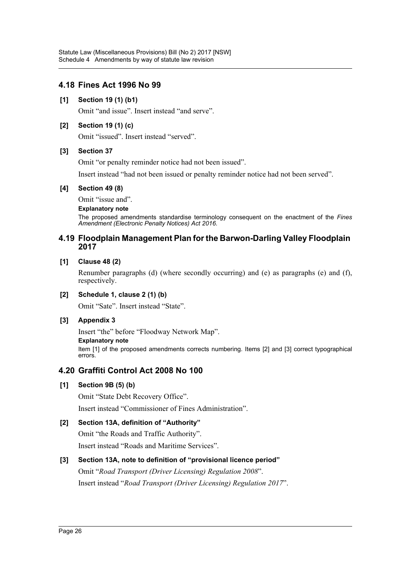# **4.18 Fines Act 1996 No 99**

### **[1] Section 19 (1) (b1)**

Omit "and issue". Insert instead "and serve".

### **[2] Section 19 (1) (c)**

Omit "issued". Insert instead "served".

### **[3] Section 37**

Omit "or penalty reminder notice had not been issued".

Insert instead "had not been issued or penalty reminder notice had not been served".

### **[4] Section 49 (8)**

Omit "issue and".

#### **Explanatory note**

The proposed amendments standardise terminology consequent on the enactment of the *Fines Amendment (Electronic Penalty Notices) Act 2016*.

### **4.19 Floodplain Management Plan for the Barwon-Darling Valley Floodplain 2017**

### **[1] Clause 48 (2)**

Renumber paragraphs (d) (where secondly occurring) and (e) as paragraphs (e) and (f), respectively.

### **[2] Schedule 1, clause 2 (1) (b)**

Omit "Sate". Insert instead "State".

### **[3] Appendix 3**

Insert "the" before "Floodway Network Map".

### **Explanatory note**

Item [1] of the proposed amendments corrects numbering. Items [2] and [3] correct typographical errors.

## **4.20 Graffiti Control Act 2008 No 100**

### **[1] Section 9B (5) (b)**

Omit "State Debt Recovery Office".

Insert instead "Commissioner of Fines Administration".

### **[2] Section 13A, definition of "Authority"**

Omit "the Roads and Traffic Authority". Insert instead "Roads and Maritime Services".

### **[3] Section 13A, note to definition of "provisional licence period"**

Omit "*Road Transport (Driver Licensing) Regulation 2008*". Insert instead "*Road Transport (Driver Licensing) Regulation 2017*".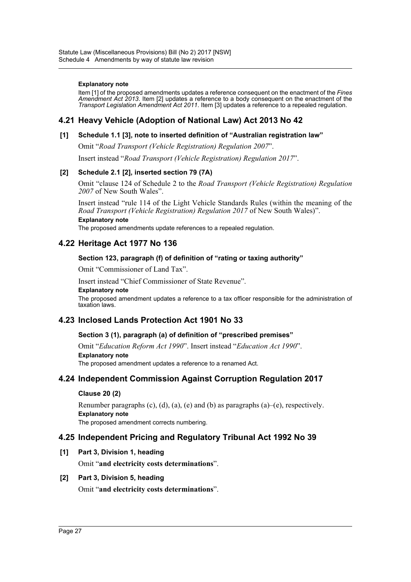#### **Explanatory note**

Item [1] of the proposed amendments updates a reference consequent on the enactment of the *Fines Amendment Act 2013*. Item [2] updates a reference to a body consequent on the enactment of the *Transport Legislation Amendment Act 2011*. Item [3] updates a reference to a repealed regulation.

## **4.21 Heavy Vehicle (Adoption of National Law) Act 2013 No 42**

### **[1] Schedule 1.1 [3], note to inserted definition of "Australian registration law"**

Omit "*Road Transport (Vehicle Registration) Regulation 2007*".

Insert instead "*Road Transport (Vehicle Registration) Regulation 2017*".

### **[2] Schedule 2.1 [2], inserted section 79 (7A)**

Omit "clause 124 of Schedule 2 to the *Road Transport (Vehicle Registration) Regulation 2007* of New South Wales".

Insert instead "rule 114 of the Light Vehicle Standards Rules (within the meaning of the *Road Transport (Vehicle Registration) Regulation 2017* of New South Wales)".

#### **Explanatory note**

The proposed amendments update references to a repealed regulation.

### **4.22 Heritage Act 1977 No 136**

### **Section 123, paragraph (f) of definition of "rating or taxing authority"**

Omit "Commissioner of Land Tax".

Insert instead "Chief Commissioner of State Revenue".

#### **Explanatory note**

The proposed amendment updates a reference to a tax officer responsible for the administration of taxation laws.

## **4.23 Inclosed Lands Protection Act 1901 No 33**

### **Section 3 (1), paragraph (a) of definition of "prescribed premises"**

Omit "*Education Reform Act 1990*". Insert instead "*Education Act 1990*". **Explanatory note** The proposed amendment updates a reference to a renamed Act.

## **4.24 Independent Commission Against Corruption Regulation 2017**

### **Clause 20 (2)**

Renumber paragraphs (c), (d), (a), (e) and (b) as paragraphs (a)–(e), respectively. **Explanatory note** The proposed amendment corrects numbering.

### **4.25 Independent Pricing and Regulatory Tribunal Act 1992 No 39**

### **[1] Part 3, Division 1, heading**

Omit "**and electricity costs determinations**".

### **[2] Part 3, Division 5, heading**

Omit "**and electricity costs determinations**".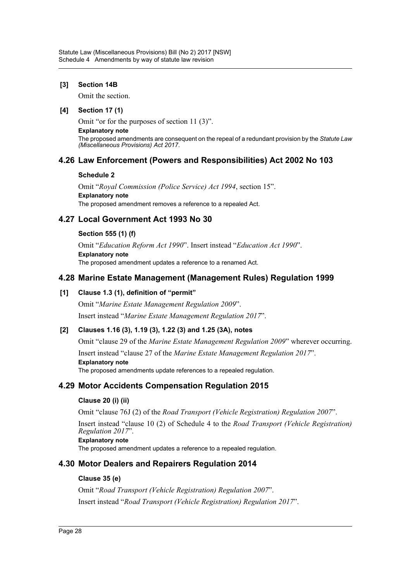### **[3] Section 14B**

Omit the section.

### **[4] Section 17 (1)**

Omit "or for the purposes of section 11 (3)".

**Explanatory note**

The proposed amendments are consequent on the repeal of a redundant provision by the *Statute Law (Miscellaneous Provisions) Act 2017*.

## **4.26 Law Enforcement (Powers and Responsibilities) Act 2002 No 103**

### **Schedule 2**

Omit "*Royal Commission (Police Service) Act 1994*, section 15". **Explanatory note** The proposed amendment removes a reference to a repealed Act.

# **4.27 Local Government Act 1993 No 30**

### **Section 555 (1) (f)**

Omit "*Education Reform Act 1990*". Insert instead "*Education Act 1990*". **Explanatory note** The proposed amendment updates a reference to a renamed Act.

# **4.28 Marine Estate Management (Management Rules) Regulation 1999**

### **[1] Clause 1.3 (1), definition of "permit"**

Omit "*Marine Estate Management Regulation 2009*". Insert instead "*Marine Estate Management Regulation 2017*".

## **[2] Clauses 1.16 (3), 1.19 (3), 1.22 (3) and 1.25 (3A), notes**

Omit "clause 29 of the *Marine Estate Management Regulation 2009*" wherever occurring.

Insert instead "clause 27 of the *Marine Estate Management Regulation 2017*".

**Explanatory note**

The proposed amendments update references to a repealed regulation.

# **4.29 Motor Accidents Compensation Regulation 2015**

### **Clause 20 (i) (ii)**

Omit "clause 76J (2) of the *Road Transport (Vehicle Registration) Regulation 2007*".

Insert instead "clause 10 (2) of Schedule 4 to the *Road Transport (Vehicle Registration) Regulation 2017*".

### **Explanatory note**

The proposed amendment updates a reference to a repealed regulation.

# **4.30 Motor Dealers and Repairers Regulation 2014**

### **Clause 35 (e)**

Omit "*Road Transport (Vehicle Registration) Regulation 2007*". Insert instead "*Road Transport (Vehicle Registration) Regulation 2017*".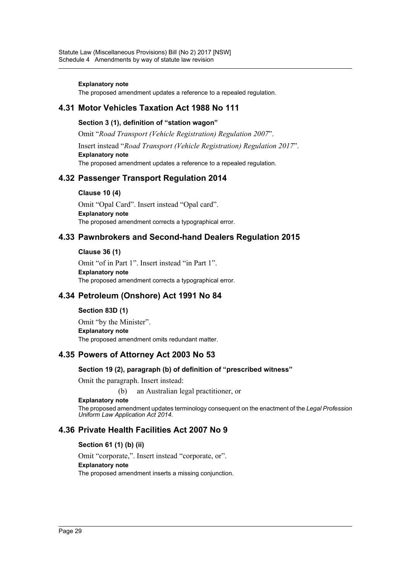#### **Explanatory note**

The proposed amendment updates a reference to a repealed regulation.

### **4.31 Motor Vehicles Taxation Act 1988 No 111**

#### **Section 3 (1), definition of "station wagon"**

Omit "*Road Transport (Vehicle Registration) Regulation 2007*".

Insert instead "*Road Transport (Vehicle Registration) Regulation 2017*". **Explanatory note** The proposed amendment updates a reference to a repealed regulation.

## **4.32 Passenger Transport Regulation 2014**

#### **Clause 10 (4)**

Omit "Opal Card". Insert instead "Opal card". **Explanatory note** The proposed amendment corrects a typographical error.

### **4.33 Pawnbrokers and Second-hand Dealers Regulation 2015**

#### **Clause 36 (1)**

Omit "of in Part 1". Insert instead "in Part 1". **Explanatory note** The proposed amendment corrects a typographical error.

## **4.34 Petroleum (Onshore) Act 1991 No 84**

### **Section 83D (1)**

Omit "by the Minister". **Explanatory note** The proposed amendment omits redundant matter.

### **4.35 Powers of Attorney Act 2003 No 53**

### **Section 19 (2), paragraph (b) of definition of "prescribed witness"**

Omit the paragraph. Insert instead:

(b) an Australian legal practitioner, or

#### **Explanatory note**

The proposed amendment updates terminology consequent on the enactment of the *Legal Profession Uniform Law Application Act 2014*.

## **4.36 Private Health Facilities Act 2007 No 9**

### **Section 61 (1) (b) (ii)**

Omit "corporate,". Insert instead "corporate, or". **Explanatory note** The proposed amendment inserts a missing conjunction.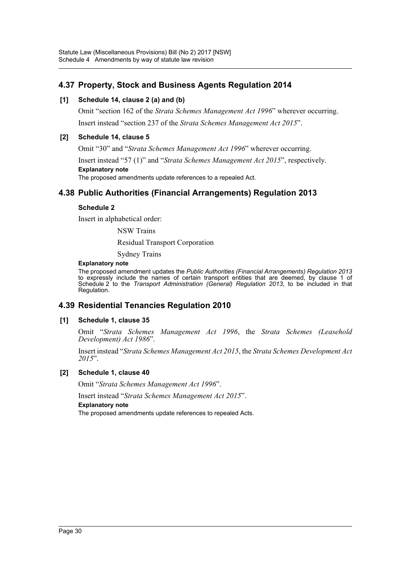# **4.37 Property, Stock and Business Agents Regulation 2014**

### **[1] Schedule 14, clause 2 (a) and (b)**

Omit "section 162 of the *Strata Schemes Management Act 1996*" wherever occurring. Insert instead "section 237 of the *Strata Schemes Management Act 2015*".

### **[2] Schedule 14, clause 5**

Omit "30" and "*Strata Schemes Management Act 1996*" wherever occurring.

Insert instead "57 (1)" and "*Strata Schemes Management Act 2015*", respectively. **Explanatory note**

The proposed amendments update references to a repealed Act.

# **4.38 Public Authorities (Financial Arrangements) Regulation 2013**

### **Schedule 2**

Insert in alphabetical order:

NSW Trains

Residual Transport Corporation

Sydney Trains

#### **Explanatory note**

The proposed amendment updates the *Public Authorities (Financial Arrangements) Regulation 2013* to expressly include the names of certain transport entities that are deemed, by clause 1 of Schedule 2 to the *Transport Administration (General) Regulation 2013*, to be included in that Regulation.

## **4.39 Residential Tenancies Regulation 2010**

### **[1] Schedule 1, clause 35**

Omit "*Strata Schemes Management Act 1996*, the *Strata Schemes (Leasehold Development) Act 1986*".

Insert instead "*Strata Schemes Management Act 2015*, the *Strata Schemes Development Act 2015*".

### **[2] Schedule 1, clause 40**

Omit "*Strata Schemes Management Act 1996*".

Insert instead "*Strata Schemes Management Act 2015*". **Explanatory note**

The proposed amendments update references to repealed Acts.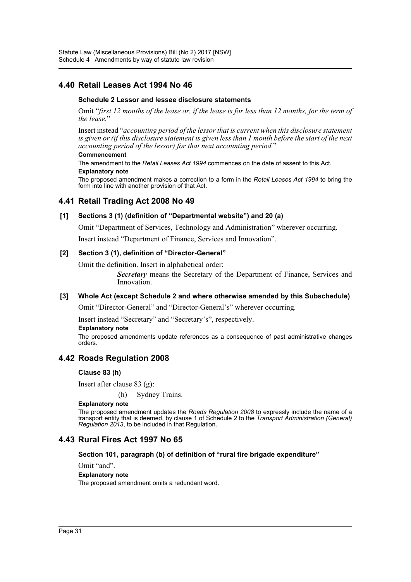# **4.40 Retail Leases Act 1994 No 46**

### **Schedule 2 Lessor and lessee disclosure statements**

Omit "*first 12 months of the lease or, if the lease is for less than 12 months, for the term of the lease.*"

Insert instead "*accounting period of the lessor that is current when this disclosure statement is given or (if this disclosure statement is given less than 1 month before the start of the next accounting period of the lessor) for that next accounting period.*"

#### **Commencement**

The amendment to the *Retail Leases Act 1994* commences on the date of assent to this Act. **Explanatory note**

The proposed amendment makes a correction to a form in the *Retail Leases Act 1994* to bring the form into line with another provision of that Act.

### **4.41 Retail Trading Act 2008 No 49**

### **[1] Sections 3 (1) (definition of "Departmental website") and 20 (a)**

Omit "Department of Services, Technology and Administration" wherever occurring.

Insert instead "Department of Finance, Services and Innovation".

### **[2] Section 3 (1), definition of "Director-General"**

Omit the definition. Insert in alphabetical order:

*Secretary* means the Secretary of the Department of Finance, Services and Innovation.

### **[3] Whole Act (except Schedule 2 and where otherwise amended by this Subschedule)**

Omit "Director-General" and "Director-General's" wherever occurring.

Insert instead "Secretary" and "Secretary's", respectively.

#### **Explanatory note**

The proposed amendments update references as a consequence of past administrative changes orders.

## **4.42 Roads Regulation 2008**

### **Clause 83 (h)**

Insert after clause 83 (g):

(h) Sydney Trains.

#### **Explanatory note**

The proposed amendment updates the *Roads Regulation 2008* to expressly include the name of a transport entity that is deemed, by clause 1 of Schedule 2 to the *Transport Administration (General) Regulation 2013*, to be included in that Regulation.

## **4.43 Rural Fires Act 1997 No 65**

### **Section 101, paragraph (b) of definition of "rural fire brigade expenditure"**

Omit "and".

#### **Explanatory note**

The proposed amendment omits a redundant word.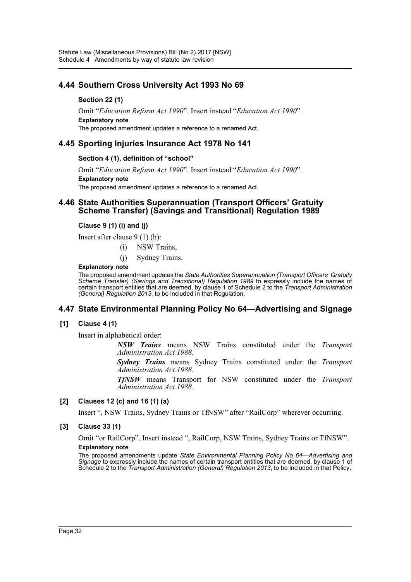# **4.44 Southern Cross University Act 1993 No 69**

### **Section 22 (1)**

Omit "*Education Reform Act 1990*". Insert instead "*Education Act 1990*". **Explanatory note**

The proposed amendment updates a reference to a renamed Act.

### **4.45 Sporting Injuries Insurance Act 1978 No 141**

### **Section 4 (1), definition of "school"**

Omit "*Education Reform Act 1990*". Insert instead "*Education Act 1990*". **Explanatory note** The proposed amendment updates a reference to a renamed Act.

### **4.46 State Authorities Superannuation (Transport Officers' Gratuity Scheme Transfer) (Savings and Transitional) Regulation 1989**

### **Clause 9 (1) (i) and (j)**

Insert after clause 9 (1) (h):

- (i) NSW Trains,
- (j) Sydney Trains.

#### **Explanatory note**

The proposed amendment updates the *State Authorities Superannuation (Transport Officers' Gratuity Scheme Transfer) (Savings and Transitional) Regulation 1989* to expressly include the names of certain transport entities that are deemed, by clause 1 of Schedule 2 to the *Transport Administration (General) Regulation 2013*, to be included in that Regulation.

## **4.47 State Environmental Planning Policy No 64—Advertising and Signage**

### **[1] Clause 4 (1)**

Insert in alphabetical order:

*NSW Trains* means NSW Trains constituted under the *Transport Administration Act 1988*.

*Sydney Trains* means Sydney Trains constituted under the *Transport Administration Act 1988*.

*TfNSW* means Transport for NSW constituted under the *Transport Administration Act 1988*.

### **[2] Clauses 12 (c) and 16 (1) (a)**

Insert ", NSW Trains, Sydney Trains or TfNSW" after "RailCorp" wherever occurring.

### **[3] Clause 33 (1)**

Omit "or RailCorp". Insert instead ", RailCorp, NSW Trains, Sydney Trains or TfNSW". **Explanatory note**

The proposed amendments update *State Environmental Planning Policy No 64—Advertising and Signage* to expressly include the names of certain transport entities that are deemed, by clause 1 of Schedule 2 to the *Transport Administration (General) Regulation 2013*, to be included in that Policy.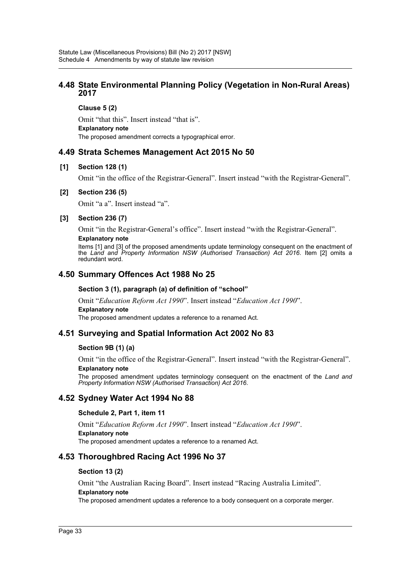### **4.48 State Environmental Planning Policy (Vegetation in Non-Rural Areas) 2017**

**Clause 5 (2)**

Omit "that this". Insert instead "that is". **Explanatory note** The proposed amendment corrects a typographical error.

## **4.49 Strata Schemes Management Act 2015 No 50**

### **[1] Section 128 (1)**

Omit "in the office of the Registrar-General". Insert instead "with the Registrar-General".

### **[2] Section 236 (5)**

Omit "a a". Insert instead "a".

### **[3] Section 236 (7)**

Omit "in the Registrar-General's office". Insert instead "with the Registrar-General". **Explanatory note**

Items [1] and [3] of the proposed amendments update terminology consequent on the enactment of the *Land and Property Information NSW (Authorised Transaction) Act 2016*. Item [2] omits a redundant word.

## **4.50 Summary Offences Act 1988 No 25**

### **Section 3 (1), paragraph (a) of definition of "school"**

Omit "*Education Reform Act 1990*". Insert instead "*Education Act 1990*".

### **Explanatory note**

The proposed amendment updates a reference to a renamed Act.

## **4.51 Surveying and Spatial Information Act 2002 No 83**

### **Section 9B (1) (a)**

Omit "in the office of the Registrar-General". Insert instead "with the Registrar-General".

### **Explanatory note**

The proposed amendment updates terminology consequent on the enactment of the *Land and Property Information NSW (Authorised Transaction) Act 2016*.

## **4.52 Sydney Water Act 1994 No 88**

### **Schedule 2, Part 1, item 11**

Omit "*Education Reform Act 1990*". Insert instead "*Education Act 1990*". **Explanatory note** The proposed amendment updates a reference to a renamed Act.

## **4.53 Thoroughbred Racing Act 1996 No 37**

### **Section 13 (2)**

Omit "the Australian Racing Board". Insert instead "Racing Australia Limited". **Explanatory note**

The proposed amendment updates a reference to a body consequent on a corporate merger.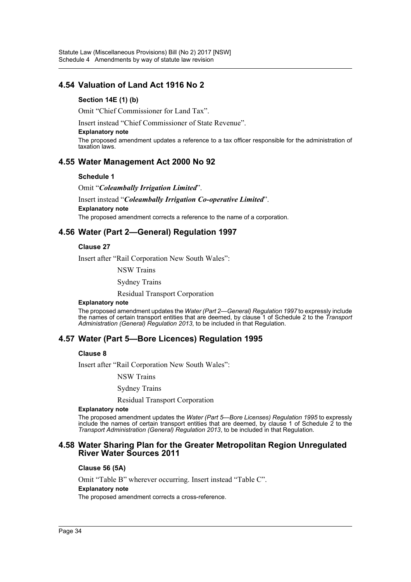## **4.54 Valuation of Land Act 1916 No 2**

### **Section 14E (1) (b)**

Omit "Chief Commissioner for Land Tax".

Insert instead "Chief Commissioner of State Revenue".

#### **Explanatory note**

The proposed amendment updates a reference to a tax officer responsible for the administration of taxation laws.

### **4.55 Water Management Act 2000 No 92**

#### **Schedule 1**

Omit "*Coleambally Irrigation Limited*".

Insert instead "*Coleambally Irrigation Co-operative Limited*". **Explanatory note** The proposed amendment corrects a reference to the name of a corporation.

### **4.56 Water (Part 2—General) Regulation 1997**

#### **Clause 27**

Insert after "Rail Corporation New South Wales":

NSW Trains

Sydney Trains

Residual Transport Corporation

#### **Explanatory note**

The proposed amendment updates the *Water (Part 2—General) Regulation 1997* to expressly include the names of certain transport entities that are deemed, by clause 1 of Schedule 2 to the *Transport Administration (General) Regulation 2013*, to be included in that Regulation.

### **4.57 Water (Part 5—Bore Licences) Regulation 1995**

#### **Clause 8**

Insert after "Rail Corporation New South Wales":

NSW Trains

Sydney Trains

Residual Transport Corporation

#### **Explanatory note**

The proposed amendment updates the *Water (Part 5—Bore Licenses) Regulation 1995* to expressly include the names of certain transport entities that are deemed, by clause 1 of Schedule 2 to the *Transport Administration (General) Regulation 2013*, to be included in that Regulation.

### **4.58 Water Sharing Plan for the Greater Metropolitan Region Unregulated River Water Sources 2011**

#### **Clause 56 (5A)**

Omit "Table B" wherever occurring. Insert instead "Table C".

#### **Explanatory note**

The proposed amendment corrects a cross-reference.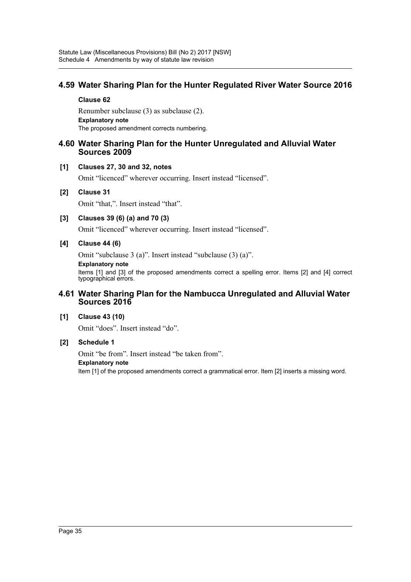# **4.59 Water Sharing Plan for the Hunter Regulated River Water Source 2016**

#### **Clause 62**

Renumber subclause (3) as subclause (2). **Explanatory note** The proposed amendment corrects numbering.

### **4.60 Water Sharing Plan for the Hunter Unregulated and Alluvial Water Sources 2009**

### **[1] Clauses 27, 30 and 32, notes**

Omit "licenced" wherever occurring. Insert instead "licensed".

### **[2] Clause 31**

Omit "that,". Insert instead "that".

### **[3] Clauses 39 (6) (a) and 70 (3)**

Omit "licenced" wherever occurring. Insert instead "licensed".

### **[4] Clause 44 (6)**

Omit "subclause 3 (a)". Insert instead "subclause (3) (a)".

**Explanatory note**

Items [1] and [3] of the proposed amendments correct a spelling error. Items [2] and [4] correct typographical errors.

### **4.61 Water Sharing Plan for the Nambucca Unregulated and Alluvial Water Sources 2016**

### **[1] Clause 43 (10)**

Omit "does". Insert instead "do".

### **[2] Schedule 1**

Omit "be from". Insert instead "be taken from". **Explanatory note** Item [1] of the proposed amendments correct a grammatical error. Item [2] inserts a missing word.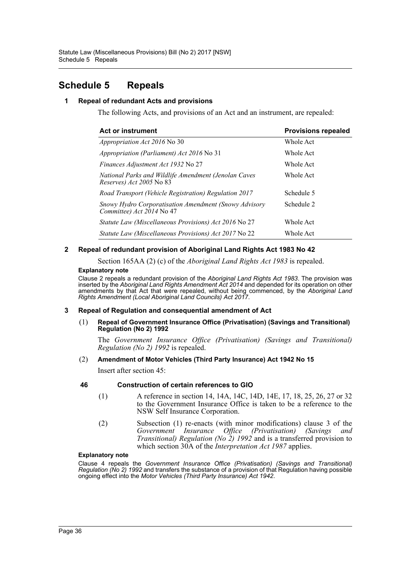# <span id="page-36-0"></span>**Schedule 5 Repeals**

### **1 Repeal of redundant Acts and provisions**

The following Acts, and provisions of an Act and an instrument, are repealed:

| <b>Act or instrument</b>                                                                | <b>Provisions repealed</b><br>Whole Act |  |
|-----------------------------------------------------------------------------------------|-----------------------------------------|--|
| <i>Appropriation Act 2016</i> No 30                                                     |                                         |  |
| Appropriation (Parliament) Act 2016 No 31                                               | Whole Act                               |  |
| Finances Adjustment Act 1932 No 27                                                      | Whole Act                               |  |
| National Parks and Wildlife Amendment (Jenolan Caves<br><i>Reserves) Act 2005</i> No 83 | Whole Act                               |  |
| Road Transport (Vehicle Registration) Regulation 2017                                   | Schedule 5                              |  |
| Snowy Hydro Corporatisation Amendment (Snowy Advisory<br>Committee) Act 2014 No 47      | Schedule 2                              |  |
| <i>Statute Law (Miscellaneous Provisions) Act 2016</i> No 27                            | Whole Act                               |  |
| <i>Statute Law (Miscellaneous Provisions) Act 2017</i> No 22                            | Whole Act                               |  |

### **2 Repeal of redundant provision of Aboriginal Land Rights Act 1983 No 42**

Section 165AA (2) (c) of the *Aboriginal Land Rights Act 1983* is repealed.

#### **Explanatory note**

Clause 2 repeals a redundant provision of the *Aboriginal Land Rights Act 1983*. The provision was inserted by the *Aboriginal Land Rights Amendment Act 2014* and depended for its operation on other amendments by that Act that were repealed, without being commenced, by the *Aboriginal Land Rights Amendment (Local Aboriginal Land Councils) Act 2017*.

#### **3 Repeal of Regulation and consequential amendment of Act**

(1) **Repeal of Government Insurance Office (Privatisation) (Savings and Transitional) Regulation (No 2) 1992**

The *Government Insurance Office (Privatisation) (Savings and Transitional) Regulation (No 2) 1992* is repealed.

#### (2) **Amendment of Motor Vehicles (Third Party Insurance) Act 1942 No 15**

Insert after section 45:

### **46 Construction of certain references to GIO**

- (1) A reference in section 14, 14A, 14C, 14D, 14E, 17, 18, 25, 26, 27 or 32 to the Government Insurance Office is taken to be a reference to the NSW Self Insurance Corporation.
- (2) Subsection (1) re-enacts (with minor modifications) clause 3 of the *Government Insurance Office (Privatisation) (Savings and Transitional) Regulation (No 2) 1992* and is a transferred provision to which section 30A of the *Interpretation Act 1987* applies.

#### **Explanatory note**

Clause 4 repeals the *Government Insurance Office (Privatisation) (Savings and Transitional) Regulation (No 2) 1992* and transfers the substance of a provision of that Regulation having possible ongoing effect into the *Motor Vehicles (Third Party Insurance) Act 1942*.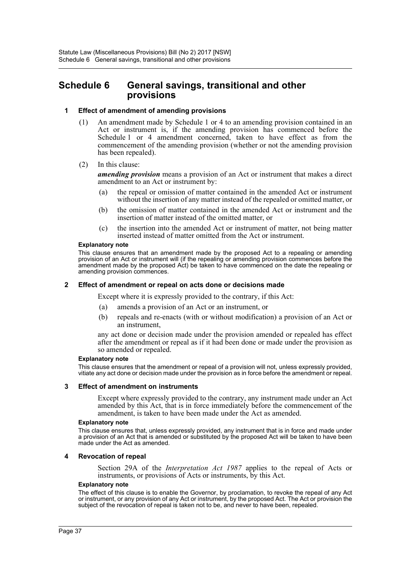# <span id="page-37-0"></span>**Schedule 6 General savings, transitional and other provisions**

#### **1 Effect of amendment of amending provisions**

- (1) An amendment made by Schedule 1 or 4 to an amending provision contained in an Act or instrument is, if the amending provision has commenced before the Schedule 1 or 4 amendment concerned, taken to have effect as from the commencement of the amending provision (whether or not the amending provision has been repealed).
- (2) In this clause:

*amending provision* means a provision of an Act or instrument that makes a direct amendment to an Act or instrument by:

- (a) the repeal or omission of matter contained in the amended Act or instrument without the insertion of any matter instead of the repealed or omitted matter, or
- (b) the omission of matter contained in the amended Act or instrument and the insertion of matter instead of the omitted matter, or
- (c) the insertion into the amended Act or instrument of matter, not being matter inserted instead of matter omitted from the Act or instrument.

#### **Explanatory note**

This clause ensures that an amendment made by the proposed Act to a repealing or amending provision of an Act or instrument will (if the repealing or amending provision commences before the amendment made by the proposed Act) be taken to have commenced on the date the repealing or amending provision commences.

#### **2 Effect of amendment or repeal on acts done or decisions made**

Except where it is expressly provided to the contrary, if this Act:

- (a) amends a provision of an Act or an instrument, or
- (b) repeals and re-enacts (with or without modification) a provision of an Act or an instrument,

any act done or decision made under the provision amended or repealed has effect after the amendment or repeal as if it had been done or made under the provision as so amended or repealed.

#### **Explanatory note**

This clause ensures that the amendment or repeal of a provision will not, unless expressly provided, vitiate any act done or decision made under the provision as in force before the amendment or repeal.

#### **3 Effect of amendment on instruments**

Except where expressly provided to the contrary, any instrument made under an Act amended by this Act, that is in force immediately before the commencement of the amendment, is taken to have been made under the Act as amended.

#### **Explanatory note**

This clause ensures that, unless expressly provided, any instrument that is in force and made under a provision of an Act that is amended or substituted by the proposed Act will be taken to have been made under the Act as amended.

#### **4 Revocation of repeal**

Section 29A of the *Interpretation Act 1987* applies to the repeal of Acts or instruments, or provisions of Acts or instruments, by this Act.

#### **Explanatory note**

The effect of this clause is to enable the Governor, by proclamation, to revoke the repeal of any Act or instrument, or any provision of any Act or instrument, by the proposed Act. The Act or provision the subject of the revocation of repeal is taken not to be, and never to have been, repealed.